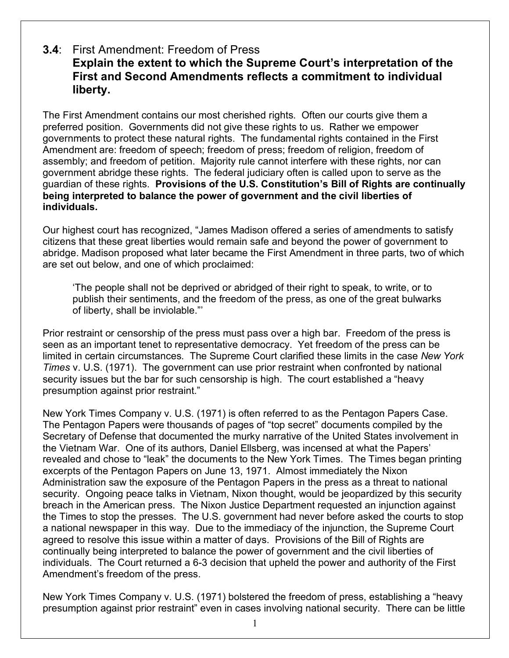## **3.4**: First Amendment: Freedom of Press **Explain the extent to which the Supreme Court's interpretation of the First and Second Amendments reflects a commitment to individual liberty.**

The First Amendment contains our most cherished rights. Often our courts give them a preferred position. Governments did not give these rights to us. Rather we empower governments to protect these natural rights. The fundamental rights contained in the First Amendment are: freedom of speech; freedom of press; freedom of religion, freedom of assembly; and freedom of petition. Majority rule cannot interfere with these rights, nor can government abridge these rights. The federal judiciary often is called upon to serve as the guardian of these rights. **Provisions of the U.S. Constitution's Bill of Rights are continually being interpreted to balance the power of government and the civil liberties of individuals.**

Our highest court has recognized, "James Madison offered a series of amendments to satisfy citizens that these great liberties would remain safe and beyond the power of government to abridge. Madison proposed what later became the First Amendment in three parts, two of which are set out below, and one of which proclaimed:

'The people shall not be deprived or abridged of their right to speak, to write, or to publish their sentiments, and the freedom of the press, as one of the great bulwarks of liberty, shall be inviolable."'

Prior restraint or censorship of the press must pass over a high bar. Freedom of the press is seen as an important tenet to representative democracy. Yet freedom of the press can be limited in certain circumstances. The Supreme Court clarified these limits in the case *New York Times* v. U.S. (1971). The government can use prior restraint when confronted by national security issues but the bar for such censorship is high. The court established a "heavy presumption against prior restraint."

New York Times Company v. U.S. (1971) is often referred to as the Pentagon Papers Case. The Pentagon Papers were thousands of pages of "top secret" documents compiled by the Secretary of Defense that documented the murky narrative of the United States involvement in the Vietnam War. One of its authors, Daniel Ellsberg, was incensed at what the Papers' revealed and chose to "leak" the documents to the New York Times. The Times began printing excerpts of the Pentagon Papers on June 13, 1971. Almost immediately the Nixon Administration saw the exposure of the Pentagon Papers in the press as a threat to national security. Ongoing peace talks in Vietnam, Nixon thought, would be jeopardized by this security breach in the American press. The Nixon Justice Department requested an injunction against the Times to stop the presses. The U.S. government had never before asked the courts to stop a national newspaper in this way. Due to the immediacy of the injunction, the Supreme Court agreed to resolve this issue within a matter of days. Provisions of the Bill of Rights are continually being interpreted to balance the power of government and the civil liberties of individuals. The Court returned a 6-3 decision that upheld the power and authority of the First Amendment's freedom of the press.

New York Times Company v. U.S. (1971) bolstered the freedom of press, establishing a "heavy presumption against prior restraint" even in cases involving national security. There can be little